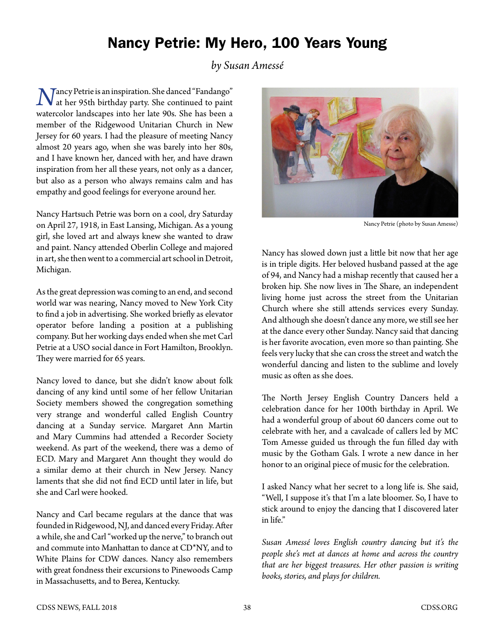## Nancy Petrie: My Hero, 100 Years Young

## *by Susan Amessé*

*Nancy Petrie is an inspiration. She danced "Fandango"*<br>at her 95th birthday party. She continued to paint watercolor landscapes into her late 90s. She has been a member of the Ridgewood Unitarian Church in New Jersey for 60 years. I had the pleasure of meeting Nancy almost 20 years ago, when she was barely into her 80s, and I have known her, danced with her, and have drawn inspiration from her all these years, not only as a dancer, but also as a person who always remains calm and has empathy and good feelings for everyone around her.

Nancy Hartsuch Petrie was born on a cool, dry Saturday on April 27, 1918, in East Lansing, Michigan. As a young girl, she loved art and always knew she wanted to draw and paint. Nancy attended Oberlin College and majored in art, she then went to a commercial art school in Detroit, Michigan.

As the great depression was coming to an end, and second world war was nearing, Nancy moved to New York City to find a job in advertising. She worked briefly as elevator operator before landing a position at a publishing company. But her working days ended when she met Carl Petrie at a USO social dance in Fort Hamilton, Brooklyn. They were married for 65 years.

Nancy loved to dance, but she didn't know about folk dancing of any kind until some of her fellow Unitarian Society members showed the congregation something very strange and wonderful called English Country dancing at a Sunday service. Margaret Ann Martin and Mary Cummins had attended a Recorder Society weekend. As part of the weekend, there was a demo of ECD. Mary and Margaret Ann thought they would do a similar demo at their church in New Jersey. Nancy laments that she did not find ECD until later in life, but she and Carl were hooked.

Nancy and Carl became regulars at the dance that was founded in Ridgewood, NJ, and danced every Friday. After a while, she and Carl "worked up the nerve," to branch out and commute into Manhattan to dance at CD\*NY, and to White Plains for CDW dances. Nancy also remembers with great fondness their excursions to Pinewoods Camp in Massachusetts, and to Berea, Kentucky.



Nancy Petrie (photo by Susan Amesse)

Nancy has slowed down just a little bit now that her age is in triple digits. Her beloved husband passed at the age of 94, and Nancy had a mishap recently that caused her a broken hip. She now lives in The Share, an independent living home just across the street from the Unitarian Church where she still attends services every Sunday. And although she doesn't dance any more, we still see her at the dance every other Sunday. Nancy said that dancing is her favorite avocation, even more so than painting. She feels very lucky that she can cross the street and watch the wonderful dancing and listen to the sublime and lovely music as often as she does.

The North Jersey English Country Dancers held a celebration dance for her 100th birthday in April. We had a wonderful group of about 60 dancers come out to celebrate with her, and a cavalcade of callers led by MC Tom Amesse guided us through the fun filled day with music by the Gotham Gals. I wrote a new dance in her honor to an original piece of music for the celebration.

I asked Nancy what her secret to a long life is. She said, "Well, I suppose it's that I'm a late bloomer. So, I have to stick around to enjoy the dancing that I discovered later in life."

*Susan Amessé loves English country dancing but it's the people she's met at dances at home and across the country that are her biggest treasures. Her other passion is writing books, stories, and plays for children.*